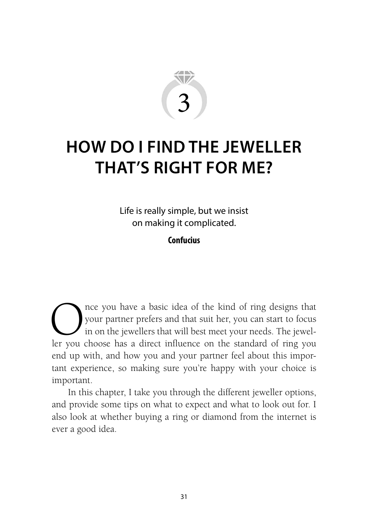

# **HOW DO I FIND THE JEWELLER THAT'S RIGHT FOR ME?**

Life is really simple, but we insist on making it complicated.

**Confucius**

Once you have a basic idea of the kind of ring designs that<br>your partner prefers and that suit her, you can start to focus<br>in on the jewellers that will best meet your needs. The jewel-<br>ler you choose has a direct influenc your partner prefers and that suit her, you can start to focus in on the jewellers that will best meet your needs. The jeweller you choose has a direct influence on the standard of ring you end up with, and how you and your partner feel about this important experience, so making sure you're happy with your choice is important.

In this chapter, I take you through the different jeweller options, and provide some tips on what to expect and what to look out for. I also look at whether buying a ring or diamond from the internet is ever a good idea.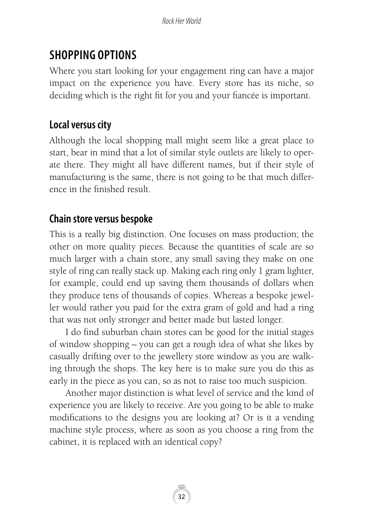# **SHOPPING OPTIONS**

Where you start looking for your engagement ring can have a major impact on the experience you have. Every store has its niche, so deciding which is the right fit for you and your fiancée is important.

## **Local versus city**

Although the local shopping mall might seem like a great place to start, bear in mind that a lot of similar style outlets are likely to operate there. They might all have different names, but if their style of manufacturing is the same, there is not going to be that much difference in the finished result.

# **Chain store versus bespoke**

This is a really big distinction. One focuses on mass production; the other on more quality pieces. Because the quantities of scale are so much larger with a chain store, any small saving they make on one style of ring can really stack up. Making each ring only 1 gram lighter, for example, could end up saving them thousands of dollars when they produce tens of thousands of copies. Whereas a bespoke jeweller would rather you paid for the extra gram of gold and had a ring that was not only stronger and better made but lasted longer.

I do find suburban chain stores can be good for the initial stages of window shopping – you can get a rough idea of what she likes by casually drifting over to the jewellery store window as you are walking through the shops. The key here is to make sure you do this as early in the piece as you can, so as not to raise too much suspicion.

Another major distinction is what level of service and the kind of experience you are likely to receive. Are you going to be able to make modifications to the designs you are looking at? Or is it a vending machine style process, where as soon as you choose a ring from the cabinet, it is replaced with an identical copy?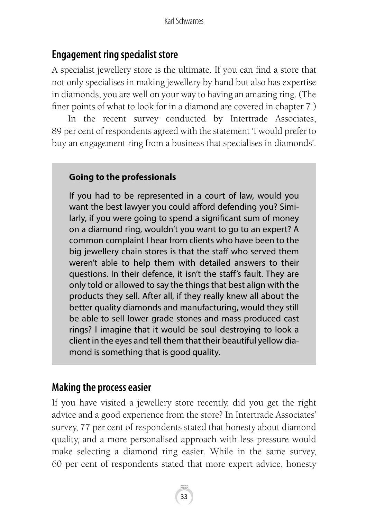# **Engagement ring specialist store**

A specialist jewellery store is the ultimate. If you can find a store that not only specialises in making jewellery by hand but also has expertise in diamonds, you are well on your way to having an amazing ring. (The finer points of what to look for in a diamond are covered in chapter 7.)

In the recent survey conducted by Intertrade Associates, 89 per cent of respondents agreed with the statement 'I would prefer to buy an engagement ring from a business that specialises in diamonds'.

### **Going to the professionals**

If you had to be represented in a court of law, would you want the best lawyer you could afford defending you? Similarly, if you were going to spend a significant sum of money on a diamond ring, wouldn't you want to go to an expert? A common complaint I hear from clients who have been to the big jewellery chain stores is that the staff who served them weren't able to help them with detailed answers to their questions. In their defence, it isn't the staff's fault. They are only told or allowed to say the things that best align with the products they sell. After all, if they really knew all about the better quality diamonds and manufacturing, would they still be able to sell lower grade stones and mass produced cast rings? I imagine that it would be soul destroying to look a client in the eyes and tell them that their beautiful yellow diamond is something that is good quality.

### **Making the process easier**

If you have visited a jewellery store recently, did you get the right advice and a good experience from the store? In Intertrade Associates' survey, 77 per cent of respondents stated that honesty about diamond quality, and a more personalised approach with less pressure would make selecting a diamond ring easier. While in the same survey, 60 per cent of respondents stated that more expert advice, honesty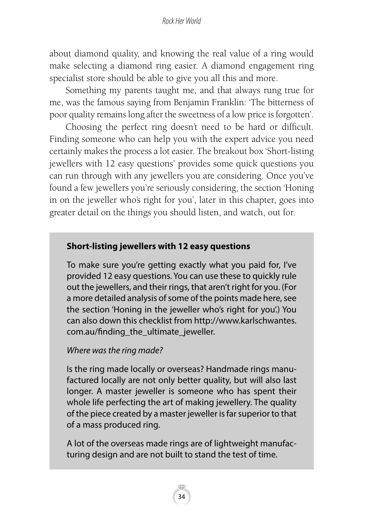about diamond quality, and knowing the real value of a ring would make selecting a diamond ring easier. A diamond engagement ring specialist store should be able to give you all this and more.

Something my parents taught me, and that always rung true for me, was the famous saying from Benjamin Franklin: 'The bitterness of poor quality remains long after the sweetness of a low price is forgotten'.

Choosing the perfect ring doesn't need to be hard or difficult. Finding someone who can help you with the expert advice you need certainly makes the process a lot easier. The breakout box 'Short-listing jewellers with 12 easy questions' provides some quick questions you can run through with any jewellers you are considering. Once you've found a few jewellers you're seriously considering, the section 'Honing in on the jeweller who's right for you', later in this chapter, goes into greater detail on the things you should listen, and watch, out for.

#### **Short-listing jewellers with 12 easy questions**

To make sure you're getting exactly what you paid for, I've provided 12 easy questions. You can use these to quickly rule out the jewellers, and their rings, that aren't right for you. (For a more detailed analysis of some of the points made here, see the section 'Honing in the jeweller who's right for you'.) You can also down this checklist from http://www.karlschwantes. com.au/finding\_the\_ultimate\_jeweller.

#### *Where was the ring made?*

Is the ring made locally or overseas? Handmade rings manufactured locally are not only better quality, but will also last longer. A master jeweller is someone who has spent their whole life perfecting the art of making jewellery. The quality of the piece created by a master jeweller is far superior to that of a mass produced ring.

A lot of the overseas made rings are of lightweight manufacturing design and are not built to stand the test of time.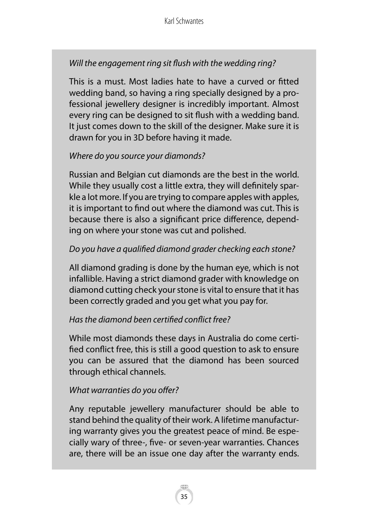### *Will the engagement ring sit flush with the wedding ring?*

This is a must. Most ladies hate to have a curved or fitted wedding band, so having a ring specially designed by a professional jewellery designer is incredibly important. Almost every ring can be designed to sit flush with a wedding band. It just comes down to the skill of the designer. Make sure it is drawn for you in 3D before having it made.

### *Where do you source your diamonds?*

Russian and Belgian cut diamonds are the best in the world. While they usually cost a little extra, they will definitely sparkle a lot more. If you are trying to compare apples with apples, it is important to find out where the diamond was cut. This is because there is also a significant price difference, depending on where your stone was cut and polished.

### *Do you have a qualified diamond grader checking each stone?*

All diamond grading is done by the human eye, which is not infallible. Having a strict diamond grader with knowledge on diamond cutting check your stone is vital to ensure that it has been correctly graded and you get what you pay for.

### *Has the diamond been certified conflict free?*

While most diamonds these days in Australia do come certified conflict free, this is still a good question to ask to ensure you can be assured that the diamond has been sourced through ethical channels.

### *What warranties do you offer?*

Any reputable jewellery manufacturer should be able to stand behind the quality of their work. A lifetime manufacturing warranty gives you the greatest peace of mind. Be especially wary of three-, five- or seven-year warranties. Chances are, there will be an issue one day after the warranty ends.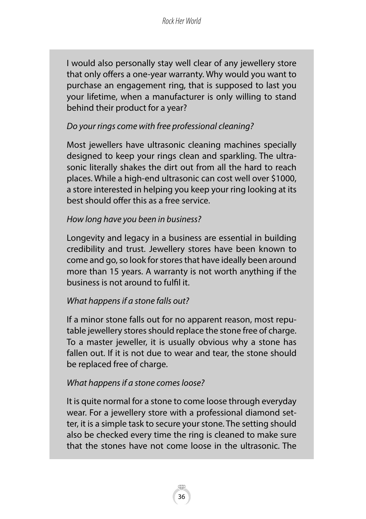I would also personally stay well clear of any jewellery store that only offers a one-year warranty. Why would you want to purchase an engagement ring, that is supposed to last you your lifetime, when a manufacturer is only willing to stand behind their product for a year?

### *Do your rings come with free professional cleaning?*

Most jewellers have ultrasonic cleaning machines specially designed to keep your rings clean and sparkling. The ultrasonic literally shakes the dirt out from all the hard to reach places. While a high-end ultrasonic can cost well over \$1000, a store interested in helping you keep your ring looking at its best should offer this as a free service.

#### *How long have you been in business?*

Longevity and legacy in a business are essential in building credibility and trust. Jewellery stores have been known to come and go, so look for stores that have ideally been around more than 15 years. A warranty is not worth anything if the business is not around to fulfil it.

#### *What happens if a stone falls out?*

If a minor stone falls out for no apparent reason, most reputable jewellery stores should replace the stone free of charge. To a master jeweller, it is usually obvious why a stone has fallen out. If it is not due to wear and tear, the stone should be replaced free of charge.

#### *What happens if a stone comes loose?*

It is quite normal for a stone to come loose through everyday wear. For a jewellery store with a professional diamond setter, it is a simple task to secure your stone. The setting should also be checked every time the ring is cleaned to make sure that the stones have not come loose in the ultrasonic. The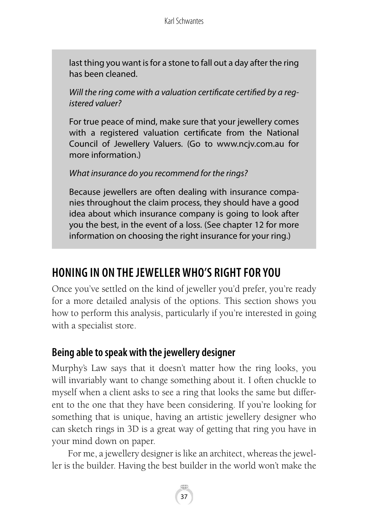last thing you want is for a stone to fall out a day after the ring has been cleaned.

*Will the ring come with a valuation certificate certified by a registered valuer?*

For true peace of mind, make sure that your jewellery comes with a registered valuation certificate from the National Council of Jewellery Valuers. (Go to www.ncjv.com.au for more information.)

#### *What insurance do you recommend for the rings?*

Because jewellers are often dealing with insurance companies throughout the claim process, they should have a good idea about which insurance company is going to look after you the best, in the event of a loss. (See chapter 12 for more information on choosing the right insurance for your ring.)

# **HONING IN ON THE JEWELLER WHO'S RIGHT FOR YOU**

Once you've settled on the kind of jeweller you'd prefer, you're ready for a more detailed analysis of the options. This section shows you how to perform this analysis, particularly if you're interested in going with a specialist store.

### **Being able to speak with the jewellery designer**

Murphy's Law says that it doesn't matter how the ring looks, you will invariably want to change something about it. I often chuckle to myself when a client asks to see a ring that looks the same but different to the one that they have been considering. If you're looking for something that is unique, having an artistic jewellery designer who can sketch rings in 3D is a great way of getting that ring you have in your mind down on paper.

For me, a jewellery designer is like an architect, whereas the jeweller is the builder. Having the best builder in the world won't make the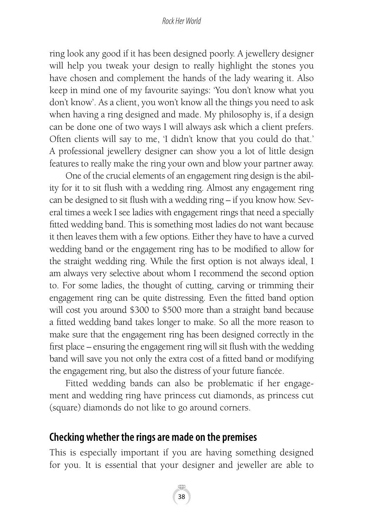ring look any good if it has been designed poorly. A jewellery designer will help you tweak your design to really highlight the stones you have chosen and complement the hands of the lady wearing it. Also keep in mind one of my favourite sayings: 'You don't know what you don't know'. As a client, you won't know all the things you need to ask when having a ring designed and made. My philosophy is, if a design can be done one of two ways I will always ask which a client prefers. Often clients will say to me, 'I didn't know that you could do that.' A professional jewellery designer can show you a lot of little design features to really make the ring your own and blow your partner away.

One of the crucial elements of an engagement ring design is the ability for it to sit flush with a wedding ring. Almost any engagement ring can be designed to sit flush with a wedding ring – if you know how. Several times a week I see ladies with engagement rings that need a specially fitted wedding band. This is something most ladies do not want because it then leaves them with a few options. Either they have to have a curved wedding band or the engagement ring has to be modified to allow for the straight wedding ring. While the first option is not always ideal, I am always very selective about whom I recommend the second option to. For some ladies, the thought of cutting, carving or trimming their engagement ring can be quite distressing. Even the fitted band option will cost you around \$300 to \$500 more than a straight band because a fitted wedding band takes longer to make. So all the more reason to make sure that the engagement ring has been designed correctly in the first place – ensuring the engagement ring will sit flush with the wedding band will save you not only the extra cost of a fitted band or modifying the engagement ring, but also the distress of your future fiancée.

Fitted wedding bands can also be problematic if her engagement and wedding ring have princess cut diamonds, as princess cut (square) diamonds do not like to go around corners.

### **Checking whether the rings are made on the premises**

This is especially important if you are having something designed for you. It is essential that your designer and jeweller are able to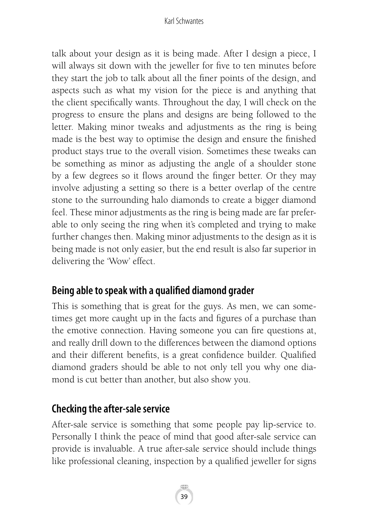talk about your design as it is being made. After I design a piece, I will always sit down with the jeweller for five to ten minutes before they start the job to talk about all the finer points of the design, and aspects such as what my vision for the piece is and anything that the client specifically wants. Throughout the day, I will check on the progress to ensure the plans and designs are being followed to the letter. Making minor tweaks and adjustments as the ring is being made is the best way to optimise the design and ensure the finished product stays true to the overall vision. Sometimes these tweaks can be something as minor as adjusting the angle of a shoulder stone by a few degrees so it flows around the finger better. Or they may involve adjusting a setting so there is a better overlap of the centre stone to the surrounding halo diamonds to create a bigger diamond feel. These minor adjustments as the ring is being made are far preferable to only seeing the ring when it's completed and trying to make further changes then. Making minor adjustments to the design as it is being made is not only easier, but the end result is also far superior in delivering the 'Wow' effect.

# **Being able to speak with a qualified diamond grader**

This is something that is great for the guys. As men, we can sometimes get more caught up in the facts and figures of a purchase than the emotive connection. Having someone you can fire questions at, and really drill down to the differences between the diamond options and their different benefits, is a great confidence builder. Qualified diamond graders should be able to not only tell you why one diamond is cut better than another, but also show you.

# **Checking the after-sale service**

After-sale service is something that some people pay lip-service to. Personally I think the peace of mind that good after-sale service can provide is invaluable. A true after-sale service should include things like professional cleaning, inspection by a qualified jeweller for signs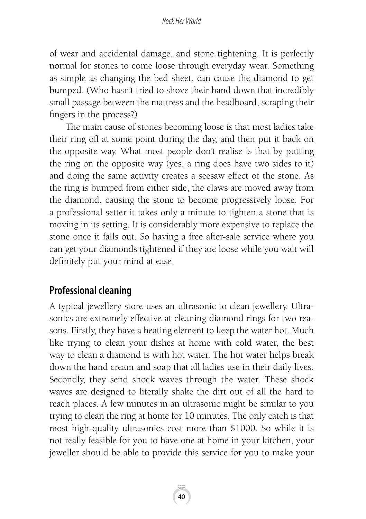of wear and accidental damage, and stone tightening. It is perfectly normal for stones to come loose through everyday wear. Something as simple as changing the bed sheet, can cause the diamond to get bumped. (Who hasn't tried to shove their hand down that incredibly small passage between the mattress and the headboard, scraping their fingers in the process?)

The main cause of stones becoming loose is that most ladies take their ring off at some point during the day, and then put it back on the opposite way. What most people don't realise is that by putting the ring on the opposite way (yes, a ring does have two sides to it) and doing the same activity creates a seesaw effect of the stone. As the ring is bumped from either side, the claws are moved away from the diamond, causing the stone to become progressively loose. For a professional setter it takes only a minute to tighten a stone that is moving in its setting. It is considerably more expensive to replace the stone once it falls out. So having a free after-sale service where you can get your diamonds tightened if they are loose while you wait will definitely put your mind at ease.

### **Professional cleaning**

A typical jewellery store uses an ultrasonic to clean jewellery. Ultrasonics are extremely effective at cleaning diamond rings for two reasons. Firstly, they have a heating element to keep the water hot. Much like trying to clean your dishes at home with cold water, the best way to clean a diamond is with hot water. The hot water helps break down the hand cream and soap that all ladies use in their daily lives. Secondly, they send shock waves through the water. These shock waves are designed to literally shake the dirt out of all the hard to reach places. A few minutes in an ultrasonic might be similar to you trying to clean the ring at home for 10 minutes. The only catch is that most high-quality ultrasonics cost more than \$1000. So while it is not really feasible for you to have one at home in your kitchen, your jeweller should be able to provide this service for you to make your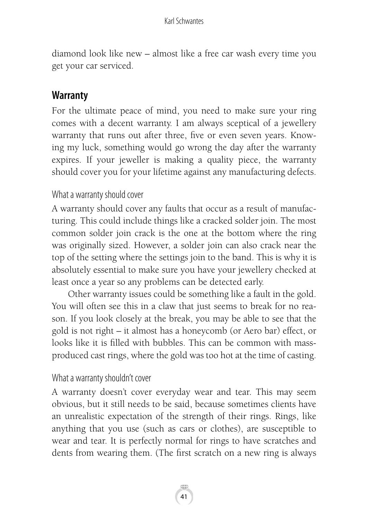diamond look like new – almost like a free car wash every time you get your car serviced.

## **Warranty**

For the ultimate peace of mind, you need to make sure your ring comes with a decent warranty. I am always sceptical of a jewellery warranty that runs out after three, five or even seven years. Knowing my luck, something would go wrong the day after the warranty expires. If your jeweller is making a quality piece, the warranty should cover you for your lifetime against any manufacturing defects.

### What a warranty should cover

A warranty should cover any faults that occur as a result of manufacturing. This could include things like a cracked solder join. The most common solder join crack is the one at the bottom where the ring was originally sized. However, a solder join can also crack near the top of the setting where the settings join to the band. This is why it is absolutely essential to make sure you have your jewellery checked at least once a year so any problems can be detected early.

Other warranty issues could be something like a fault in the gold. You will often see this in a claw that just seems to break for no reason. If you look closely at the break, you may be able to see that the gold is not right – it almost has a honeycomb (or Aero bar) effect, or looks like it is filled with bubbles. This can be common with massproduced cast rings, where the gold was too hot at the time of casting.

### What a warranty shouldn't cover

A warranty doesn't cover everyday wear and tear. This may seem obvious, but it still needs to be said, because sometimes clients have an unrealistic expectation of the strength of their rings. Rings, like anything that you use (such as cars or clothes), are susceptible to wear and tear. It is perfectly normal for rings to have scratches and dents from wearing them. (The first scratch on a new ring is always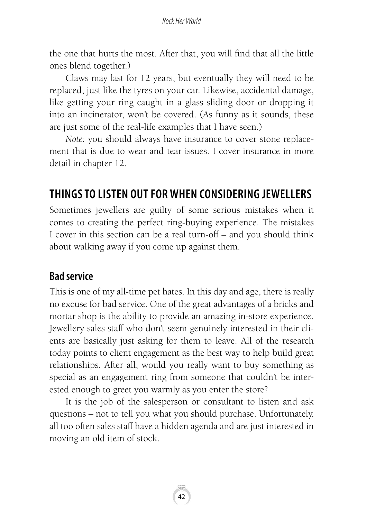the one that hurts the most. After that, you will find that all the little ones blend together.)

Claws may last for 12 years, but eventually they will need to be replaced, just like the tyres on your car. Likewise, accidental damage, like getting your ring caught in a glass sliding door or dropping it into an incinerator, won't be covered. (As funny as it sounds, these are just some of the real-life examples that I have seen.)

*Note:* you should always have insurance to cover stone replacement that is due to wear and tear issues. I cover insurance in more detail in chapter 12.

# **THINGS TO LISTEN OUT FOR WHEN CONSIDERING JEWELLERS**

Sometimes jewellers are guilty of some serious mistakes when it comes to creating the perfect ring-buying experience. The mistakes I cover in this section can be a real turn-off – and you should think about walking away if you come up against them.

### **Bad service**

This is one of my all-time pet hates. In this day and age, there is really no excuse for bad service. One of the great advantages of a bricks and mortar shop is the ability to provide an amazing in-store experience. Jewellery sales staff who don't seem genuinely interested in their clients are basically just asking for them to leave. All of the research today points to client engagement as the best way to help build great relationships. After all, would you really want to buy something as special as an engagement ring from someone that couldn't be interested enough to greet you warmly as you enter the store?

It is the job of the salesperson or consultant to listen and ask questions – not to tell you what you should purchase. Unfortunately, all too often sales staff have a hidden agenda and are just interested in moving an old item of stock.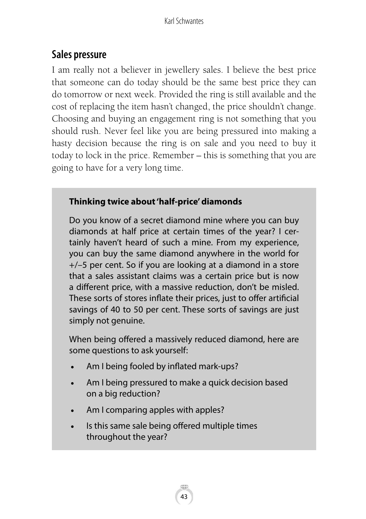# **Sales pressure**

I am really not a believer in jewellery sales. I believe the best price that someone can do today should be the same best price they can do tomorrow or next week. Provided the ring is still available and the cost of replacing the item hasn't changed, the price shouldn't change. Choosing and buying an engagement ring is not something that you should rush. Never feel like you are being pressured into making a hasty decision because the ring is on sale and you need to buy it today to lock in the price. Remember – this is something that you are going to have for a very long time.

### **Thinking twice about 'half-price' diamonds**

Do you know of a secret diamond mine where you can buy diamonds at half price at certain times of the year? I certainly haven't heard of such a mine. From my experience, you can buy the same diamond anywhere in the world for +/–5 per cent. So if you are looking at a diamond in a store that a sales assistant claims was a certain price but is now a different price, with a massive reduction, don't be misled. These sorts of stores inflate their prices, just to offer artificial savings of 40 to 50 per cent. These sorts of savings are just simply not genuine.

When being offered a massively reduced diamond, here are some questions to ask yourself:

- Am I being fooled by inflated mark-ups?
- Am I being pressured to make a quick decision based on a big reduction?
- Am I comparing apples with apples?
- Is this same sale being offered multiple times throughout the year?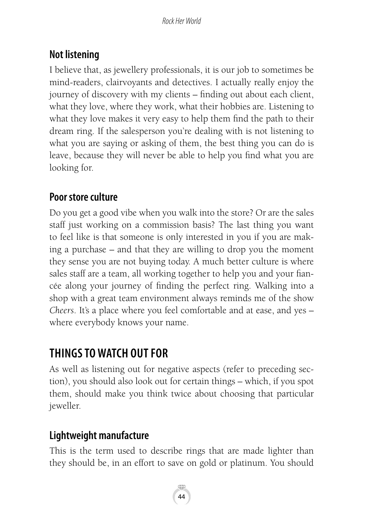# **Not listening**

I believe that, as jewellery professionals, it is our job to sometimes be mind-readers, clairvoyants and detectives. I actually really enjoy the journey of discovery with my clients – finding out about each client, what they love, where they work, what their hobbies are. Listening to what they love makes it very easy to help them find the path to their dream ring. If the salesperson you're dealing with is not listening to what you are saying or asking of them, the best thing you can do is leave, because they will never be able to help you find what you are looking for.

# **Poor store culture**

Do you get a good vibe when you walk into the store? Or are the sales staff just working on a commission basis? The last thing you want to feel like is that someone is only interested in you if you are making a purchase – and that they are willing to drop you the moment they sense you are not buying today. A much better culture is where sales staff are a team, all working together to help you and your fiancée along your journey of finding the perfect ring. Walking into a shop with a great team environment always reminds me of the show *Cheers*. It's a place where you feel comfortable and at ease, and yes – where everybody knows your name.

# **THINGS TO WATCH OUT FOR**

As well as listening out for negative aspects (refer to preceding section), you should also look out for certain things – which, if you spot them, should make you think twice about choosing that particular jeweller.

# **Lightweight manufacture**

This is the term used to describe rings that are made lighter than they should be, in an effort to save on gold or platinum. You should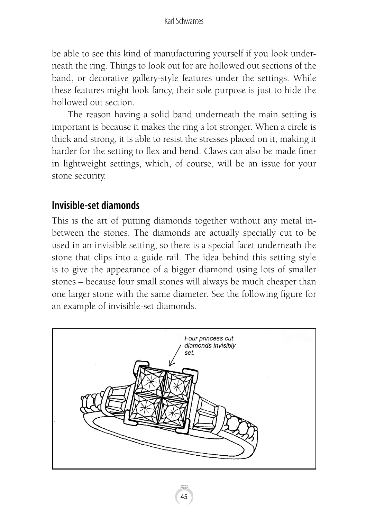be able to see this kind of manufacturing yourself if you look underneath the ring. Things to look out for are hollowed out sections of the band, or decorative gallery-style features under the settings. While these features might look fancy, their sole purpose is just to hide the hollowed out section.

The reason having a solid band underneath the main setting is important is because it makes the ring a lot stronger. When a circle is thick and strong, it is able to resist the stresses placed on it, making it harder for the setting to flex and bend. Claws can also be made finer in lightweight settings, which, of course, will be an issue for your stone security.

# **Invisible-set diamonds**

This is the art of putting diamonds together without any metal inbetween the stones. The diamonds are actually specially cut to be used in an invisible setting, so there is a special facet underneath the stone that clips into a guide rail. The idea behind this setting style is to give the appearance of a bigger diamond using lots of smaller stones – because four small stones will always be much cheaper than one larger stone with the same diameter. See the following figure for an example of invisible-set diamonds.

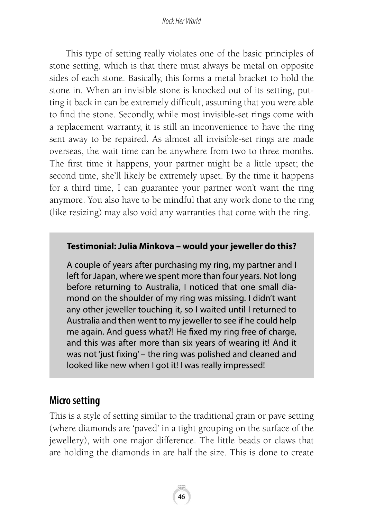This type of setting really violates one of the basic principles of stone setting, which is that there must always be metal on opposite sides of each stone. Basically, this forms a metal bracket to hold the stone in. When an invisible stone is knocked out of its setting, putting it back in can be extremely difficult, assuming that you were able to find the stone. Secondly, while most invisible-set rings come with a replacement warranty, it is still an inconvenience to have the ring sent away to be repaired. As almost all invisible-set rings are made overseas, the wait time can be anywhere from two to three months. The first time it happens, your partner might be a little upset; the second time, she'll likely be extremely upset. By the time it happens for a third time, I can guarantee your partner won't want the ring anymore. You also have to be mindful that any work done to the ring (like resizing) may also void any warranties that come with the ring.

### **Testimonial: Julia Minkova – would your jeweller do this?**

A couple of years after purchasing my ring, my partner and I left for Japan, where we spent more than four years. Not long before returning to Australia, I noticed that one small diamond on the shoulder of my ring was missing. I didn't want any other jeweller touching it, so I waited until I returned to Australia and then went to my jeweller to see if he could help me again. And guess what?! He fixed my ring free of charge, and this was after more than six years of wearing it! And it was not 'just fixing' – the ring was polished and cleaned and looked like new when I got it! I was really impressed!

### **Micro setting**

This is a style of setting similar to the traditional grain or pave setting (where diamonds are 'paved' in a tight grouping on the surface of the jewellery), with one major difference. The little beads or claws that are holding the diamonds in are half the size. This is done to create